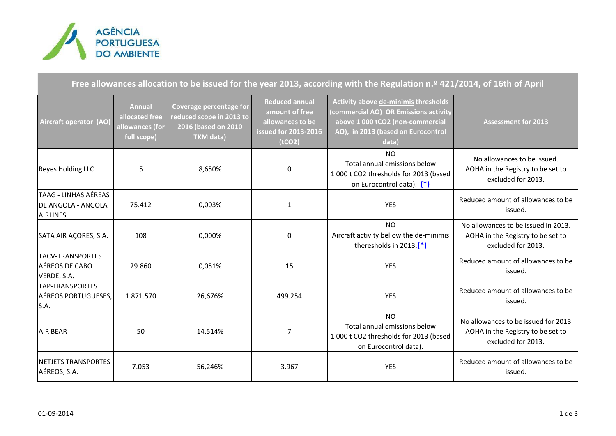

| Free allowances allocation to be issued for the year 2013, according with the Regulation n.º 421/2014, of 16th of April |                                                                   |                                                                                                       |                                                                                                            |                                                                                                                                                                  |                                                                                                |  |
|-------------------------------------------------------------------------------------------------------------------------|-------------------------------------------------------------------|-------------------------------------------------------------------------------------------------------|------------------------------------------------------------------------------------------------------------|------------------------------------------------------------------------------------------------------------------------------------------------------------------|------------------------------------------------------------------------------------------------|--|
| Aircraft operator (AO)                                                                                                  | <b>Annual</b><br>allocated free<br>allowances (for<br>full scope) | <b>Coverage percentage for</b><br>reduced scope in 2013 to<br>2016 (based on 2010<br><b>TKM</b> data) | <b>Reduced annual</b><br>amount of free<br>allowances to be<br>issued for 2013-2016<br>(tCO <sub>2</sub> ) | Activity above de-minimis thresholds<br>(commercial AO) OR Emissions activity<br>above 1 000 tCO2 (non-commercial<br>AO), in 2013 (based on Eurocontrol<br>data) | <b>Assessment for 2013</b>                                                                     |  |
| <b>Reyes Holding LLC</b>                                                                                                | 5                                                                 | 8,650%                                                                                                | 0                                                                                                          | <b>NO</b><br>Total annual emissions below<br>1 000 t CO2 thresholds for 2013 (based<br>on Eurocontrol data). (*)                                                 | No allowances to be issued.<br>AOHA in the Registry to be set to<br>excluded for 2013.         |  |
| TAAG - LINHAS AÉREAS<br><b>DE ANGOLA - ANGOLA</b><br><b>AIRLINES</b>                                                    | 75.412                                                            | 0,003%                                                                                                | 1                                                                                                          | <b>YES</b>                                                                                                                                                       | Reduced amount of allowances to be<br>issued.                                                  |  |
| SATA AIR AÇORES, S.A.                                                                                                   | 108                                                               | 0,000%                                                                                                | 0                                                                                                          | <b>NO</b><br>Aircraft activity bellow the de-minimis<br>theresholds in 2013. $(*)$                                                                               | No allowances to be issued in 2013.<br>AOHA in the Registry to be set to<br>excluded for 2013. |  |
| <b>TACV-TRANSPORTES</b><br>AÉREOS DE CABO<br>VERDE, S.A.                                                                | 29.860                                                            | 0,051%                                                                                                | 15                                                                                                         | <b>YES</b>                                                                                                                                                       | Reduced amount of allowances to be<br>issued.                                                  |  |
| <b>TAP-TRANSPORTES</b><br>AÉREOS PORTUGUESES,<br>S.A.                                                                   | 1.871.570                                                         | 26,676%                                                                                               | 499.254                                                                                                    | <b>YES</b>                                                                                                                                                       | Reduced amount of allowances to be<br>issued.                                                  |  |
| <b>AIR BEAR</b>                                                                                                         | 50                                                                | 14,514%                                                                                               | 7                                                                                                          | <b>NO</b><br>Total annual emissions below<br>1 000 t CO2 thresholds for 2013 (based<br>on Eurocontrol data).                                                     | No allowances to be issued for 2013<br>AOHA in the Registry to be set to<br>excluded for 2013. |  |
| <b>NETJETS TRANSPORTES</b><br>AÉREOS, S.A.                                                                              | 7.053                                                             | 56,246%                                                                                               | 3.967                                                                                                      | <b>YES</b>                                                                                                                                                       | Reduced amount of allowances to be<br>issued.                                                  |  |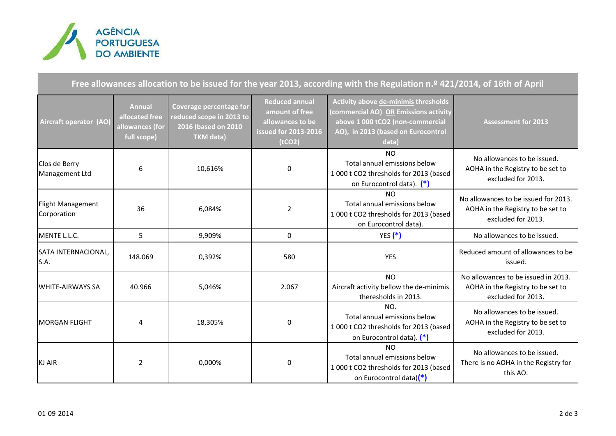

| Free allowances allocation to be issued for the year 2013, according with the Regulation n.º 421/2014, of 16th of April |                                                                   |                                                                                                       |                                                                                                            |                                                                                                                                                                  |                                                                                                 |  |
|-------------------------------------------------------------------------------------------------------------------------|-------------------------------------------------------------------|-------------------------------------------------------------------------------------------------------|------------------------------------------------------------------------------------------------------------|------------------------------------------------------------------------------------------------------------------------------------------------------------------|-------------------------------------------------------------------------------------------------|--|
| <b>Aircraft operator (AO</b>                                                                                            | <b>Annual</b><br>allocated free<br>allowances (for<br>full scope) | <b>Coverage percentage for</b><br>reduced scope in 2013 to<br>2016 (based on 2010<br><b>TKM</b> data) | <b>Reduced annual</b><br>amount of free<br>allowances to be<br>issued for 2013-2016<br>(tCO <sub>2</sub> ) | Activity above de-minimis thresholds<br>(commercial AO) OR Emissions activity<br>above 1 000 tCO2 (non-commercial<br>AO), in 2013 (based on Eurocontrol<br>data) | <b>Assessment for 2013</b>                                                                      |  |
| Clos de Berry<br>Management Ltd                                                                                         | 6                                                                 | 10,616%                                                                                               | 0                                                                                                          | <b>NO</b><br>Total annual emissions below<br>1 000 t CO2 thresholds for 2013 (based<br>on Eurocontrol data) (*)                                                  | No allowances to be issued.<br>AOHA in the Registry to be set to<br>excluded for 2013.          |  |
| Flight Management<br>Corporation                                                                                        | 36                                                                | 6,084%                                                                                                | $\overline{2}$                                                                                             | <b>NO</b><br>Total annual emissions below<br>1 000 t CO2 thresholds for 2013 (based<br>on Eurocontrol data).                                                     | No allowances to be issued for 2013.<br>AOHA in the Registry to be set to<br>excluded for 2013. |  |
| MENTE L.L.C.                                                                                                            | 5                                                                 | 9,909%                                                                                                | 0                                                                                                          | YES $(*)$                                                                                                                                                        | No allowances to be issued.                                                                     |  |
| SATA INTERNACIONAL,<br>S.A.                                                                                             | 148.069                                                           | 0,392%                                                                                                | 580                                                                                                        | <b>YES</b>                                                                                                                                                       | Reduced amount of allowances to be<br>issued.                                                   |  |
| <b>WHITE-AIRWAYS SA</b>                                                                                                 | 40.966                                                            | 5,046%                                                                                                | 2.067                                                                                                      | <b>NO</b><br>Aircraft activity bellow the de-minimis<br>theresholds in 2013.                                                                                     | No allowances to be issued in 2013.<br>AOHA in the Registry to be set to<br>excluded for 2013.  |  |
| <b>MORGAN FLIGHT</b>                                                                                                    | 4                                                                 | 18,305%                                                                                               | 0                                                                                                          | NO.<br>Total annual emissions below<br>1 000 t CO2 thresholds for 2013 (based<br>on Eurocontrol data). (*)                                                       | No allowances to be issued.<br>AOHA in the Registry to be set to<br>excluded for 2013.          |  |
| <b>KJ AIR</b>                                                                                                           | 2                                                                 | 0,000%                                                                                                | 0                                                                                                          | <b>NO</b><br>Total annual emissions below<br>1 000 t CO2 thresholds for 2013 (based<br>on Eurocontrol data)(*)                                                   | No allowances to be issued.<br>There is no AOHA in the Registry for<br>this AO.                 |  |